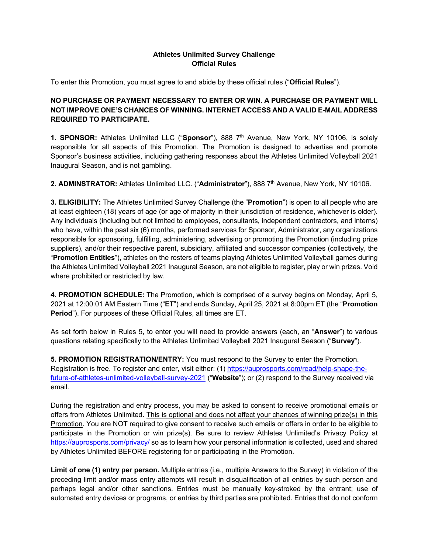## **Athletes Unlimited Survey Challenge Official Rules**

To enter this Promotion, you must agree to and abide by these official rules ("**Official Rules**").

## **NO PURCHASE OR PAYMENT NECESSARY TO ENTER OR WIN. A PURCHASE OR PAYMENT WILL NOT IMPROVE ONE'S CHANCES OF WINNING. INTERNET ACCESS AND A VALID E-MAIL ADDRESS REQUIRED TO PARTICIPATE.**

**1. SPONSOR:** Athletes Unlimited LLC ("**Sponsor**"), 888 7th Avenue, New York, NY 10106, is solely responsible for all aspects of this Promotion. The Promotion is designed to advertise and promote Sponsor's business activities, including gathering responses about the Athletes Unlimited Volleyball 2021 Inaugural Season, and is not gambling.

**2. ADMINSTRATOR:** Athletes Unlimited LLC. ("**Administrator**"), 888 7th Avenue, New York, NY 10106.

**3. ELIGIBILITY:** The Athletes Unlimited Survey Challenge (the "**Promotion**") is open to all people who are at least eighteen (18) years of age (or age of majority in their jurisdiction of residence, whichever is older). Any individuals (including but not limited to employees, consultants, independent contractors, and interns) who have, within the past six (6) months, performed services for Sponsor, Administrator, any organizations responsible for sponsoring, fulfilling, administering, advertising or promoting the Promotion (including prize suppliers), and/or their respective parent, subsidiary, affiliated and successor companies (collectively, the "**Promotion Entities**"), athletes on the rosters of teams playing Athletes Unlimited Volleyball games during the Athletes Unlimited Volleyball 2021 Inaugural Season, are not eligible to register, play or win prizes. Void where prohibited or restricted by law.

**4. PROMOTION SCHEDULE:** The Promotion, which is comprised of a survey begins on Monday, April 5, 2021 at 12:00:01 AM Eastern Time ("**ET**") and ends Sunday, April 25, 2021 at 8:00pm ET (the "**Promotion Period**"). For purposes of these Official Rules, all times are ET.

As set forth below in Rules 5, to enter you will need to provide answers (each, an "**Answer**") to various questions relating specifically to the Athletes Unlimited Volleyball 2021 Inaugural Season ("**Survey**").

**5. PROMOTION REGISTRATION/ENTRY:** You must respond to the Survey to enter the Promotion. Registration is free. To register and enter, visit either: (1) https://auprosports.com/read/help-shape-thefuture-of-athletes-unlimited-volleyball-survey-2021 ("**Website**"); or (2) respond to the Survey received via email.

During the registration and entry process, you may be asked to consent to receive promotional emails or offers from Athletes Unlimited. This is optional and does not affect your chances of winning prize(s) in this Promotion. You are NOT required to give consent to receive such emails or offers in order to be eligible to participate in the Promotion or win prize(s). Be sure to review Athletes Unlimited's Privacy Policy at https://auprosports.com/privacy/ so as to learn how your personal information is collected, used and shared by Athletes Unlimited BEFORE registering for or participating in the Promotion.

**Limit of one (1) entry per person.** Multiple entries (i.e., multiple Answers to the Survey) in violation of the preceding limit and/or mass entry attempts will result in disqualification of all entries by such person and perhaps legal and/or other sanctions. Entries must be manually key-stroked by the entrant; use of automated entry devices or programs, or entries by third parties are prohibited. Entries that do not conform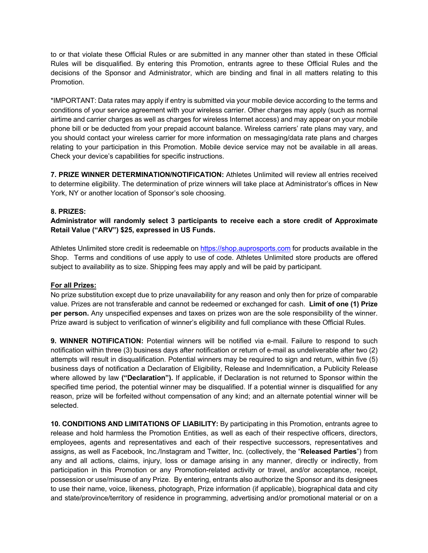to or that violate these Official Rules or are submitted in any manner other than stated in these Official Rules will be disqualified. By entering this Promotion, entrants agree to these Official Rules and the decisions of the Sponsor and Administrator, which are binding and final in all matters relating to this Promotion.

\*IMPORTANT: Data rates may apply if entry is submitted via your mobile device according to the terms and conditions of your service agreement with your wireless carrier. Other charges may apply (such as normal airtime and carrier charges as well as charges for wireless Internet access) and may appear on your mobile phone bill or be deducted from your prepaid account balance. Wireless carriers' rate plans may vary, and you should contact your wireless carrier for more information on messaging/data rate plans and charges relating to your participation in this Promotion. Mobile device service may not be available in all areas. Check your device's capabilities for specific instructions.

**7. PRIZE WINNER DETERMINATION/NOTIFICATION:** Athletes Unlimited will review all entries received to determine eligibility. The determination of prize winners will take place at Administrator's offices in New York, NY or another location of Sponsor's sole choosing.

## **8. PRIZES:**

**Administrator will randomly select 3 participants to receive each a store credit of Approximate Retail Value ("ARV") \$25, expressed in US Funds.**

Athletes Unlimited store credit is redeemable on https://shop.auprosports.com for products available in the Shop. Terms and conditions of use apply to use of code. Athletes Unlimited store products are offered subject to availability as to size. Shipping fees may apply and will be paid by participant.

## **For all Prizes:**

No prize substitution except due to prize unavailability for any reason and only then for prize of comparable value. Prizes are not transferable and cannot be redeemed or exchanged for cash. **Limit of one (1) Prize per person.** Any unspecified expenses and taxes on prizes won are the sole responsibility of the winner. Prize award is subject to verification of winner's eligibility and full compliance with these Official Rules.

**9. WINNER NOTIFICATION:** Potential winners will be notified via e-mail. Failure to respond to such notification within three (3) business days after notification or return of e-mail as undeliverable after two (2) attempts will result in disqualification. Potential winners may be required to sign and return, within five (5) business days of notification a Declaration of Eligibility, Release and Indemnification, a Publicity Release where allowed by law ("Declaration"). If applicable, if Declaration is not returned to Sponsor within the specified time period, the potential winner may be disqualified. If a potential winner is disqualified for any reason, prize will be forfeited without compensation of any kind; and an alternate potential winner will be selected.

**10. CONDITIONS AND LIMITATIONS OF LIABILITY:** By participating in this Promotion, entrants agree to release and hold harmless the Promotion Entities, as well as each of their respective officers, directors, employees, agents and representatives and each of their respective successors, representatives and assigns, as well as Facebook, Inc./Instagram and Twitter, Inc. (collectively, the "**Released Parties**") from any and all actions, claims, injury, loss or damage arising in any manner, directly or indirectly, from participation in this Promotion or any Promotion-related activity or travel, and/or acceptance, receipt, possession or use/misuse of any Prize. By entering, entrants also authorize the Sponsor and its designees to use their name, voice, likeness, photograph, Prize information (if applicable), biographical data and city and state/province/territory of residence in programming, advertising and/or promotional material or on a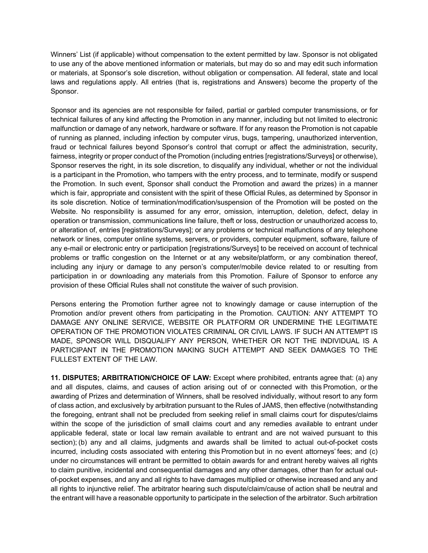Winners' List (if applicable) without compensation to the extent permitted by law. Sponsor is not obligated to use any of the above mentioned information or materials, but may do so and may edit such information or materials, at Sponsor's sole discretion, without obligation or compensation. All federal, state and local laws and regulations apply. All entries (that is, registrations and Answers) become the property of the Sponsor.

Sponsor and its agencies are not responsible for failed, partial or garbled computer transmissions, or for technical failures of any kind affecting the Promotion in any manner, including but not limited to electronic malfunction or damage of any network, hardware or software. If for any reason the Promotion is not capable of running as planned, including infection by computer virus, bugs, tampering, unauthorized intervention, fraud or technical failures beyond Sponsor's control that corrupt or affect the administration, security, fairness, integrity or proper conduct of the Promotion (including entries [registrations/Surveys] or otherwise), Sponsor reserves the right, in its sole discretion, to disqualify any individual, whether or not the individual is a participant in the Promotion, who tampers with the entry process, and to terminate, modify or suspend the Promotion. In such event, Sponsor shall conduct the Promotion and award the prizes) in a manner which is fair, appropriate and consistent with the spirit of these Official Rules, as determined by Sponsor in its sole discretion. Notice of termination/modification/suspension of the Promotion will be posted on the Website. No responsibility is assumed for any error, omission, interruption, deletion, defect, delay in operation or transmission, communications line failure, theft or loss, destruction or unauthorized access to, or alteration of, entries [registrations/Surveys]; or any problems or technical malfunctions of any telephone network or lines, computer online systems, servers, or providers, computer equipment, software, failure of any e-mail or electronic entry or participation [registrations/Surveys] to be received on account of technical problems or traffic congestion on the Internet or at any website/platform, or any combination thereof, including any injury or damage to any person's computer/mobile device related to or resulting from participation in or downloading any materials from this Promotion. Failure of Sponsor to enforce any provision of these Official Rules shall not constitute the waiver of such provision.

Persons entering the Promotion further agree not to knowingly damage or cause interruption of the Promotion and/or prevent others from participating in the Promotion. CAUTION: ANY ATTEMPT TO DAMAGE ANY ONLINE SERVICE, WEBSITE OR PLATFORM OR UNDERMINE THE LEGITIMATE OPERATION OF THE PROMOTION VIOLATES CRIMINAL OR CIVIL LAWS. IF SUCH AN ATTEMPT IS MADE, SPONSOR WILL DISQUALIFY ANY PERSON, WHETHER OR NOT THE INDIVIDUAL IS A PARTICIPANT IN THE PROMOTION MAKING SUCH ATTEMPT AND SEEK DAMAGES TO THE FULLEST EXTENT OF THE LAW.

**11. DISPUTES; ARBITRATION/CHOICE OF LAW:** Except where prohibited, entrants agree that: (a) any and all disputes, claims, and causes of action arising out of or connected with this Promotion, or the awarding of Prizes and determination of Winners, shall be resolved individually, without resort to any form of class action, and exclusively by arbitration pursuant to the Rules of JAMS, then effective (notwithstanding the foregoing, entrant shall not be precluded from seeking relief in small claims court for disputes/claims within the scope of the jurisdiction of small claims court and any remedies available to entrant under applicable federal, state or local law remain available to entrant and are not waived pursuant to this section); (b) any and all claims, judgments and awards shall be limited to actual out-of-pocket costs incurred, including costs associated with entering this Promotion but in no event attorneys' fees; and (c) under no circumstances will entrant be permitted to obtain awards for and entrant hereby waives all rights to claim punitive, incidental and consequential damages and any other damages, other than for actual outof-pocket expenses, and any and all rights to have damages multiplied or otherwise increased and any and all rights to injunctive relief. The arbitrator hearing such dispute/claim/cause of action shall be neutral and the entrant will have a reasonable opportunity to participate in the selection of the arbitrator. Such arbitration